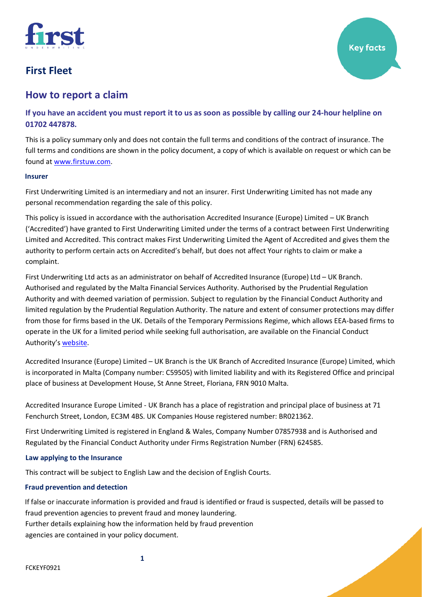

# **How to report a claim**

**If you have an accident you must report it to us as soon as possible by calling our 24-hour helpline on 01702 447878.**

This is a policy summary only and does not contain the full terms and conditions of the contract of insurance. The full terms and conditions are shown in the policy document, a copy of which is available on request or which can be found at [www.firstuw.com.](http://www.firstuw.com/)

### **Insurer**

First Underwriting Limited is an intermediary and not an insurer. First Underwriting Limited has not made any personal recommendation regarding the sale of this policy.

This policy is issued in accordance with the authorisation Accredited Insurance (Europe) Limited – UK Branch ('Accredited') have granted to First Underwriting Limited under the terms of a contract between First Underwriting Limited and Accredited. This contract makes First Underwriting Limited the Agent of Accredited and gives them the authority to perform certain acts on Accredited's behalf, but does not affect Your rights to claim or make a complaint.

First Underwriting Ltd acts as an administrator on behalf of Accredited Insurance (Europe) Ltd – UK Branch. Authorised and regulated by the Malta Financial Services Authority. Authorised by the Prudential Regulation Authority and with deemed variation of permission. Subject to regulation by the Financial Conduct Authority and limited regulation by the Prudential Regulation Authority. The nature and extent of consumer protections may differ from those for firms based in the UK. Details of the Temporary Permissions Regime, which allows EEA-based firms to operate in the UK for a limited period while seeking full authorisation, are available on the Financial Conduct Authority's [website.](https://www.fca.org.uk/)

Accredited Insurance (Europe) Limited – UK Branch is the UK Branch of Accredited Insurance (Europe) Limited, which is incorporated in Malta (Company number: C59505) with limited liability and with its Registered Office and principal place of business at Development House, St Anne Street, Floriana, FRN 9010 Malta.

Accredited Insurance Europe Limited - UK Branch has a place of registration and principal place of business at 71 Fenchurch Street, London, EC3M 4BS. UK Companies House registered number: BR021362.

First Underwriting Limited is registered in England & Wales, Company Number 07857938 and is Authorised and Regulated by the Financial Conduct Authority under Firms Registration Number (FRN) 624585.

### **Law applying to the Insurance**

This contract will be subject to English Law and the decision of English Courts.

# **Fraud prevention and detection**

If false or inaccurate information is provided and fraud is identified or fraud is suspected, details will be passed to fraud prevention agencies to prevent fraud and money laundering. Further details explaining how the information held by fraud prevention agencies are contained in your policy document.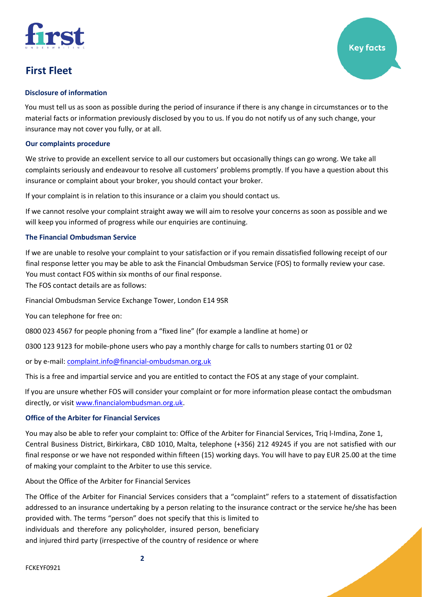

You must tell us as soon as possible during the period of insurance if there is any change in circumstances or to the material facts or information previously disclosed by you to us. If you do not notify us of any such change, your insurance may not cover you fully, or at all.

# **Our complaints procedure**

We strive to provide an excellent service to all our customers but occasionally things can go wrong. We take all complaints seriously and endeavour to resolve all customers' problems promptly. If you have a question about this insurance or complaint about your broker, you should contact your broker.

If your complaint is in relation to this insurance or a claim you should contact us.

If we cannot resolve your complaint straight away we will aim to resolve your concerns as soon as possible and we will keep you informed of progress while our enquiries are continuing.

# **The Financial Ombudsman Service**

If we are unable to resolve your complaint to your satisfaction or if you remain dissatisfied following receipt of our final response letter you may be able to ask the Financial Ombudsman Service (FOS) to formally review your case. You must contact FOS within six months of our final response.

The FOS contact details are as follows:

Financial Ombudsman Service Exchange Tower, London E14 9SR

You can telephone for free on:

0800 023 4567 for people phoning from a "fixed line" (for example a landline at home) or

0300 123 9123 for mobile-phone users who pay a monthly charge for calls to numbers starting 01 or 02

or by e-mail[: complaint.info@financial-ombudsman.org.uk](mailto:complaint.info@financial-ombudsman.org.uk)

This is a free and impartial service and you are entitled to contact the FOS at any stage of your complaint.

If you are unsure whether FOS will consider your complaint or for more information please contact the ombudsman directly, or visit [www.financialombudsman.org.uk.](mailto:http://www.financialombudsman.org.uk/)

# **Office of the Arbiter for Financial Services**

You may also be able to refer your complaint to: Office of the Arbiter for Financial Services, Triq l-Imdina, Zone 1, Central Business District, Birkirkara, CBD 1010, Malta, telephone (+356) 212 49245 if you are not satisfied with our final response or we have not responded within fifteen (15) working days. You will have to pay EUR 25.00 at the time of making your complaint to the Arbiter to use this service.

About the Office of the Arbiter for Financial Services

The Office of the Arbiter for Financial Services considers that a "complaint" refers to a statement of dissatisfaction addressed to an insurance undertaking by a person relating to the insurance contract or the service he/she has been provided with. The terms "person" does not specify that this is limited to individuals and therefore any policyholder, insured person, beneficiary and injured third party (irrespective of the country of residence or where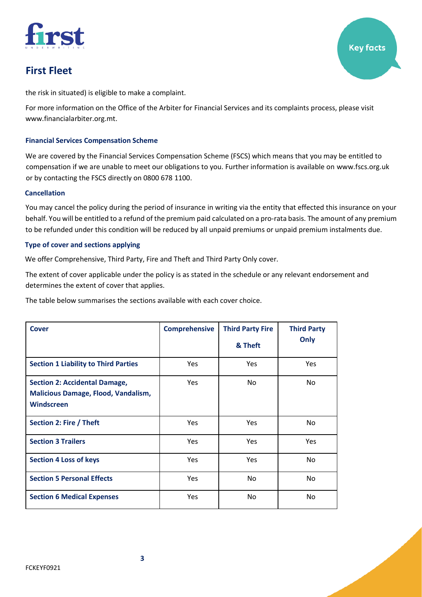

the risk in situated) is eligible to make a complaint.

For more information on the Office of the Arbiter for Financial Services and its complaints process, please visit www.financialarbiter.org.mt.

# **Financial Services Compensation Scheme**

We are covered by the Financial Services Compensation Scheme (FSCS) which means that you may be entitled to compensation if we are unable to meet our obligations to you. Further information is available on [www.fscs.org.uk](http://www.fscs.org.uk/)  or by contacting the FSCS directly on 0800 678 1100.

### **Cancellation**

You may cancel the policy during the period of insurance in writing via the entity that effected this insurance on your behalf. You will be entitled to a refund of the premium paid calculated on a pro-rata basis. The amount of any premium to be refunded under this condition will be reduced by all unpaid premiums or unpaid premium instalments due.

# **Type of cover and sections applying**

We offer Comprehensive, Third Party, Fire and Theft and Third Party Only cover.

The extent of cover applicable under the policy is as stated in the schedule or any relevant endorsement and determines the extent of cover that applies.

The table below summarises the sections available with each cover choice.

| <b>Cover</b>                                                                                     | <b>Comprehensive</b> | <b>Third Party Fire</b> | <b>Third Party</b> |
|--------------------------------------------------------------------------------------------------|----------------------|-------------------------|--------------------|
|                                                                                                  |                      | & Theft                 | Only               |
| <b>Section 1 Liability to Third Parties</b>                                                      | <b>Yes</b>           | <b>Yes</b>              | <b>Yes</b>         |
| <b>Section 2: Accidental Damage,</b><br><b>Malicious Damage, Flood, Vandalism,</b><br>Windscreen | Yes                  | No                      | <b>No</b>          |
| Section 2: Fire / Theft                                                                          | Yes                  | <b>Yes</b>              | <b>No</b>          |
| <b>Section 3 Trailers</b>                                                                        | Yes                  | Yes                     | Yes                |
| <b>Section 4 Loss of keys</b>                                                                    | Yes                  | <b>Yes</b>              | <b>No</b>          |
| <b>Section 5 Personal Effects</b>                                                                | Yes                  | No                      | No.                |
| <b>Section 6 Medical Expenses</b>                                                                | Yes                  | No                      | <b>No</b>          |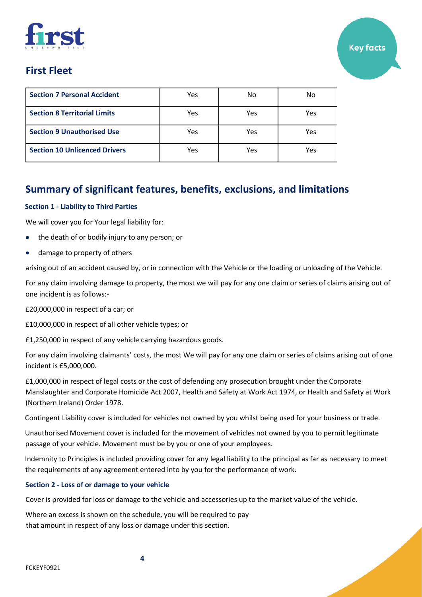| <b>Section 7 Personal Accident</b>   | Yes | No  | No  |
|--------------------------------------|-----|-----|-----|
| <b>Section 8 Territorial Limits</b>  | Yes | Yes | Yes |
| <b>Section 9 Unauthorised Use</b>    | Yes | Yes | Yes |
| <b>Section 10 Unlicenced Drivers</b> | Yes | Yes | Yes |

# **Summary of significant features, benefits, exclusions, and limitations**

# **Section 1 - Liability to Third Parties**

We will cover you for Your legal liability for:

- the death of or bodily injury to any person; or
- damage to property of others

arising out of an accident caused by, or in connection with the Vehicle or the loading or unloading of the Vehicle.

For any claim involving damage to property, the most we will pay for any one claim or series of claims arising out of one incident is as follows:-

£20,000,000 in respect of a car; or

£10,000,000 in respect of all other vehicle types; or

£1,250,000 in respect of any vehicle carrying hazardous goods.

For any claim involving claimants' costs, the most We will pay for any one claim or series of claims arising out of one incident is £5,000,000.

£1,000,000 in respect of legal costs or the cost of defending any prosecution brought under the Corporate Manslaughter and Corporate Homicide Act 2007, Health and Safety at Work Act 1974, or Health and Safety at Work (Northern Ireland) Order 1978.

Contingent Liability cover is included for vehicles not owned by you whilst being used for your business or trade.

Unauthorised Movement cover is included for the movement of vehicles not owned by you to permit legitimate passage of your vehicle. Movement must be by you or one of your employees.

Indemnity to Principles is included providing cover for any legal liability to the principal as far as necessary to meet the requirements of any agreement entered into by you for the performance of work.

# **Section 2 - Loss of or damage to your vehicle**

Cover is provided for loss or damage to the vehicle and accessories up to the market value of the vehicle.

Where an excess is shown on the schedule, you will be required to pay that amount in respect of any loss or damage under this section.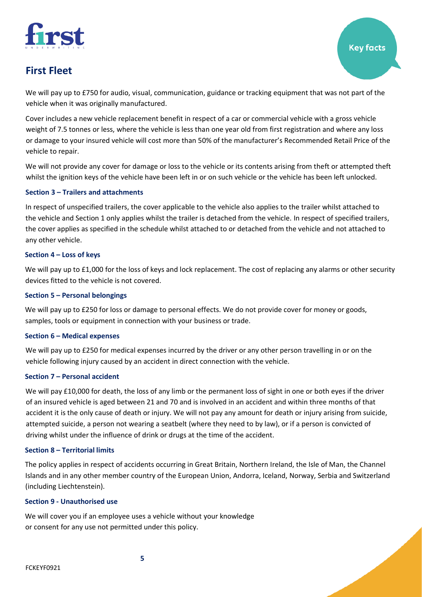

We will pay up to £750 for audio, visual, communication, guidance or tracking equipment that was not part of the vehicle when it was originally manufactured.

Cover includes a new vehicle replacement benefit in respect of a car or commercial vehicle with a gross vehicle weight of 7.5 tonnes or less, where the vehicle is less than one year old from first registration and where any loss or damage to your insured vehicle will cost more than 50% of the manufacturer's Recommended Retail Price of the vehicle to repair.

We will not provide any cover for damage or loss to the vehicle or its contents arising from theft or attempted theft whilst the ignition keys of the vehicle have been left in or on such vehicle or the vehicle has been left unlocked.

# **Section 3 – Trailers and attachments**

In respect of unspecified trailers, the cover applicable to the vehicle also applies to the trailer whilst attached to the vehicle and Section 1 only applies whilst the trailer is detached from the vehicle. In respect of specified trailers, the cover applies as specified in the schedule whilst attached to or detached from the vehicle and not attached to any other vehicle.

### **Section 4 – Loss of keys**

We will pay up to £1,000 for the loss of keys and lock replacement. The cost of replacing any alarms or other security devices fitted to the vehicle is not covered.

### **Section 5 – Personal belongings**

We will pay up to £250 for loss or damage to personal effects. We do not provide cover for money or goods, samples, tools or equipment in connection with your business or trade.

### **Section 6 – Medical expenses**

We will pay up to £250 for medical expenses incurred by the driver or any other person travelling in or on the vehicle following injury caused by an accident in direct connection with the vehicle.

### **Section 7 – Personal accident**

We will pay £10,000 for death, the loss of any limb or the permanent loss of sight in one or both eyes if the driver of an insured vehicle is aged between 21 and 70 and is involved in an accident and within three months of that accident it is the only cause of death or injury. We will not pay any amount for death or injury arising from suicide, attempted suicide, a person not wearing a seatbelt (where they need to by law), or if a person is convicted of driving whilst under the influence of drink or drugs at the time of the accident.

### **Section 8 – Territorial limits**

The policy applies in respect of accidents occurring in Great Britain, Northern Ireland, the Isle of Man, the Channel Islands and in any other member country of the European Union, Andorra, Iceland, Norway, Serbia and Switzerland (including Liechtenstein).

### **Section 9 - Unauthorised use**

We will cover you if an employee uses a vehicle without your knowledge or consent for any use not permitted under this policy.